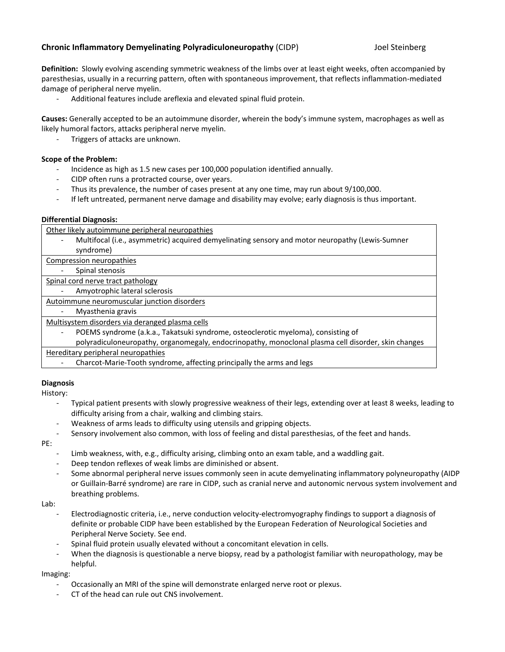# **Chronic Inflammatory Demyelinating Polyradiculoneuropathy** (CIDP) Joel Steinberg

**Definition:** Slowly evolving ascending symmetric weakness of the limbs over at least eight weeks, often accompanied by paresthesias, usually in a recurring pattern, often with spontaneous improvement, that reflects inflammation-mediated damage of peripheral nerve myelin.

Additional features include areflexia and elevated spinal fluid protein.

**Causes:** Generally accepted to be an autoimmune disorder, wherein the body's immune system, macrophages as well as likely humoral factors, attacks peripheral nerve myelin.

Triggers of attacks are unknown.

#### **Scope of the Problem:**

- Incidence as high as 1.5 new cases per 100,000 population identified annually.
- CIDP often runs a protracted course, over years.
- Thus its prevalence, the number of cases present at any one time, may run about 9/100,000.
- If left untreated, permanent nerve damage and disability may evolve; early diagnosis is thus important.

#### **Differential Diagnosis:**

Other likely autoimmune peripheral neuropathies

- Multifocal (i.e., asymmetric) acquired demyelinating sensory and motor neuropathy (Lewis-Sumner syndrome)

Compression neuropathies

- Spinal stenosis

Spinal cord nerve tract pathology

- Amyotrophic lateral sclerosis

Autoimmune neuromuscular junction disorders

- Myasthenia gravis

Multisystem disorders via deranged plasma cells

- POEMS syndrome (a.k.a., Takatsuki syndrome, osteoclerotic myeloma), consisting of

polyradiculoneuropathy, organomegaly, endocrinopathy, monoclonal plasma cell disorder, skin changes

Hereditary peripheral neuropathies

- Charcot-Marie-Tooth syndrome, affecting principally the arms and legs

**Diagnosis**

History:

- Typical patient presents with slowly progressive weakness of their legs, extending over at least 8 weeks, leading to difficulty arising from a chair, walking and climbing stairs.
- Weakness of arms leads to difficulty using utensils and gripping objects.
- Sensory involvement also common, with loss of feeling and distal paresthesias, of the feet and hands.

PE:

- Limb weakness, with, e.g., difficulty arising, climbing onto an exam table, and a waddling gait.
- Deep tendon reflexes of weak limbs are diminished or absent.
- Some abnormal peripheral nerve issues commonly seen in acute demyelinating inflammatory polyneuropathy (AIDP or Guillain-Barré syndrome) are rare in CIDP, such as cranial nerve and autonomic nervous system involvement and breathing problems.

Lab:

- Electrodiagnostic criteria, i.e., nerve conduction velocity-electromyography findings to support a diagnosis of definite or probable CIDP have been established by the European Federation of Neurological Societies and Peripheral Nerve Society. See end.
- Spinal fluid protein usually elevated without a concomitant elevation in cells.
- When the diagnosis is questionable a nerve biopsy, read by a pathologist familiar with neuropathology, may be helpful.

Imaging:

- Occasionally an MRI of the spine will demonstrate enlarged nerve root or plexus.
- CT of the head can rule out CNS involvement.